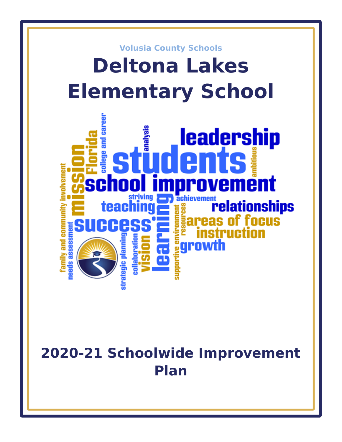

# **2020-21 Schoolwide Improvement Plan**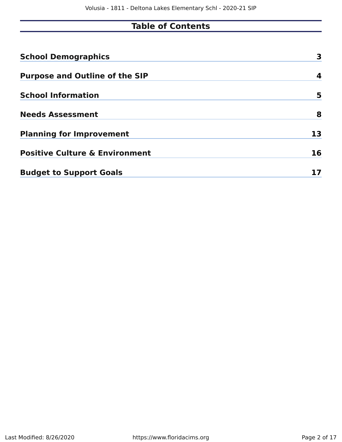# **Table of Contents**

| <b>School Demographics</b>                | 3  |
|-------------------------------------------|----|
| <b>Purpose and Outline of the SIP</b>     | 4  |
| <b>School Information</b>                 | 5  |
| <b>Needs Assessment</b>                   | 8  |
| <b>Planning for Improvement</b>           | 13 |
| <b>Positive Culture &amp; Environment</b> | 16 |
| <b>Budget to Support Goals</b>            |    |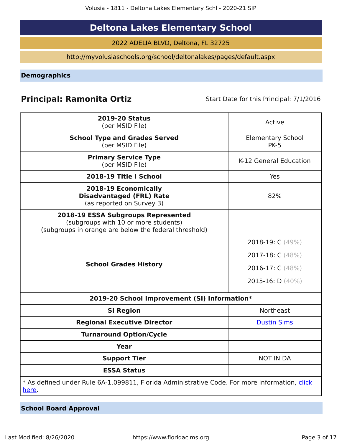# **Deltona Lakes Elementary School**

2022 ADELIA BLVD, Deltona, FL 32725

http://myvolusiaschools.org/school/deltonalakes/pages/default.aspx

<span id="page-2-0"></span>**Demographics**

# **Principal: Ramonita Ortiz** Start Date for this Principal: 7/1/2016

| <b>2019-20 Status</b><br>(per MSID File)                                                                                            | Active                                  |
|-------------------------------------------------------------------------------------------------------------------------------------|-----------------------------------------|
| <b>School Type and Grades Served</b><br>(per MSID File)                                                                             | <b>Elementary School</b><br><b>PK-5</b> |
| <b>Primary Service Type</b><br>(per MSID File)                                                                                      | K-12 General Education                  |
| 2018-19 Title I School                                                                                                              | <b>Yes</b>                              |
| 2018-19 Economically<br><b>Disadvantaged (FRL) Rate</b><br>(as reported on Survey 3)                                                | 82%                                     |
| 2018-19 ESSA Subgroups Represented<br>(subgroups with 10 or more students)<br>(subgroups in orange are below the federal threshold) |                                         |
|                                                                                                                                     | 2018-19: C (49%)                        |
|                                                                                                                                     | 2017-18: C (48%)                        |
| <b>School Grades History</b>                                                                                                        | 2016-17: C (48%)                        |
|                                                                                                                                     | 2015-16: $D(40\%)$                      |
| 2019-20 School Improvement (SI) Information*                                                                                        |                                         |
| <b>SI Region</b>                                                                                                                    | Northeast                               |
| <b>Regional Executive Director</b>                                                                                                  | <b>Dustin Sims</b>                      |
| <b>Turnaround Option/Cycle</b>                                                                                                      |                                         |
| Year                                                                                                                                |                                         |
| <b>Support Tier</b>                                                                                                                 | <b>NOT IN DA</b>                        |
| <b>ESSA Status</b>                                                                                                                  |                                         |
| * As defined under Rule 6A-1.099811, Florida Administrative Code. For more information, click<br>here.                              |                                         |

**School Board Approval**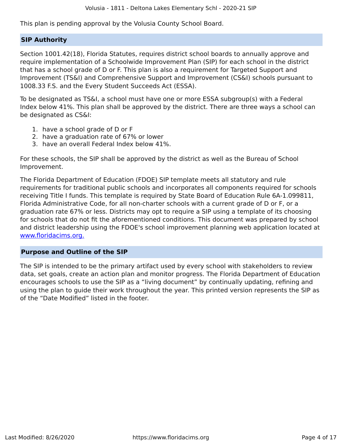This plan is pending approval by the Volusia County School Board.

#### **SIP Authority**

Section 1001.42(18), Florida Statutes, requires district school boards to annually approve and require implementation of a Schoolwide Improvement Plan (SIP) for each school in the district that has a school grade of D or F. This plan is also a requirement for Targeted Support and Improvement (TS&I) and Comprehensive Support and Improvement (CS&I) schools pursuant to 1008.33 F.S. and the Every Student Succeeds Act (ESSA).

To be designated as TS&I, a school must have one or more ESSA subgroup(s) with a Federal Index below 41%. This plan shall be approved by the district. There are three ways a school can be designated as CS&I:

- 1. have a school grade of D or F
- 2. have a graduation rate of 67% or lower
- 3. have an overall Federal Index below 41%.

For these schools, the SIP shall be approved by the district as well as the Bureau of School Improvement.

The Florida Department of Education (FDOE) SIP template meets all statutory and rule requirements for traditional public schools and incorporates all components required for schools receiving Title I funds. This template is required by State Board of Education Rule 6A-1.099811, Florida Administrative Code, for all non-charter schools with a current grade of D or F, or a graduation rate 67% or less. Districts may opt to require a SIP using a template of its choosing for schools that do not fit the aforementioned conditions. This document was prepared by school and district leadership using the FDOE's school improvement planning web application located at [www.floridacims.org.](https://www.floridacims.org)

#### <span id="page-3-0"></span>**Purpose and Outline of the SIP**

The SIP is intended to be the primary artifact used by every school with stakeholders to review data, set goals, create an action plan and monitor progress. The Florida Department of Education encourages schools to use the SIP as a "living document" by continually updating, refining and using the plan to guide their work throughout the year. This printed version represents the SIP as of the "Date Modified" listed in the footer.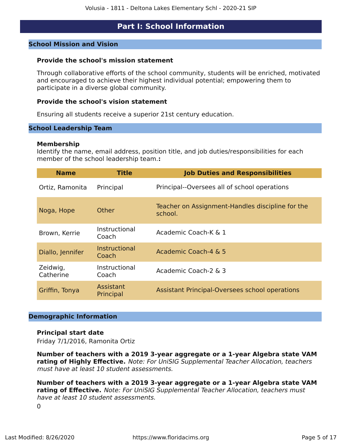## **Part I: School Information**

#### <span id="page-4-0"></span>**School Mission and Vision**

#### **Provide the school's mission statement**

Through collaborative efforts of the school community, students will be enriched, motivated and encouraged to achieve their highest individual potential; empowering them to participate in a diverse global community.

#### **Provide the school's vision statement**

Ensuring all students receive a superior 21st century education.

#### **School Leadership Team**

#### **Membership**

Identify the name, email address, position title, and job duties/responsibilities for each member of the school leadership team.**:**

| <b>Name</b>           | <b>Title</b>           | <b>Job Duties and Responsibilities</b>                      |
|-----------------------|------------------------|-------------------------------------------------------------|
| Ortiz, Ramonita       | Principal              | Principal--Oversees all of school operations                |
| Noga, Hope            | Other                  | Teacher on Assignment-Handles discipline for the<br>school. |
| Brown, Kerrie         | Instructional<br>Coach | Academic Coach-K & 1                                        |
| Diallo, Jennifer      | Instructional<br>Coach | Academic Coach-4 & 5                                        |
| Zeidwig,<br>Catherine | Instructional<br>Coach | Academic Coach-2 & 3                                        |
| Griffin, Tonya        | Assistant<br>Principal | Assistant Principal-Oversees school operations              |

#### **Demographic Information**

#### **Principal start date**

Friday 7/1/2016, Ramonita Ortiz

**Number of teachers with a 2019 3-year aggregate or a 1-year Algebra state VAM rating of Highly Effective.** Note: For UniSIG Supplemental Teacher Allocation, teachers must have at least 10 student assessments.

**Number of teachers with a 2019 3-year aggregate or a 1-year Algebra state VAM rating of Effective.** Note: For UniSIG Supplemental Teacher Allocation, teachers must have at least 10 student assessments.

 $\Omega$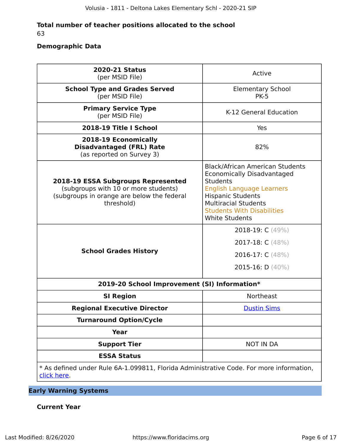#### **Total number of teacher positions allocated to the school** 63

#### **Demographic Data**

| <b>2020-21 Status</b><br>(per MSID File)                                                                                                      | Active                                                                                                                                                                                                                                               |
|-----------------------------------------------------------------------------------------------------------------------------------------------|------------------------------------------------------------------------------------------------------------------------------------------------------------------------------------------------------------------------------------------------------|
| <b>School Type and Grades Served</b><br>(per MSID File)                                                                                       | <b>Elementary School</b><br><b>PK-5</b>                                                                                                                                                                                                              |
| <b>Primary Service Type</b><br>(per MSID File)                                                                                                | K-12 General Education                                                                                                                                                                                                                               |
| 2018-19 Title I School                                                                                                                        | Yes                                                                                                                                                                                                                                                  |
| 2018-19 Economically<br><b>Disadvantaged (FRL) Rate</b><br>(as reported on Survey 3)                                                          | 82%                                                                                                                                                                                                                                                  |
| <b>2018-19 ESSA Subgroups Represented</b><br>(subgroups with 10 or more students)<br>(subgroups in orange are below the federal<br>threshold) | <b>Black/African American Students</b><br>Economically Disadvantaged<br><b>Students</b><br><b>English Language Learners</b><br><b>Hispanic Students</b><br><b>Multiracial Students</b><br><b>Students With Disabilities</b><br><b>White Students</b> |
| <b>School Grades History</b>                                                                                                                  | 2018-19: $C(49%)$<br>2017-18: C (48%)<br>2016-17: C (48%)<br>2015-16: $D(40\%)$                                                                                                                                                                      |
| 2019-20 School Improvement (SI) Information*                                                                                                  |                                                                                                                                                                                                                                                      |
| <b>SI Region</b>                                                                                                                              | <b>Northeast</b>                                                                                                                                                                                                                                     |
| <b>Regional Executive Director</b>                                                                                                            | <b>Dustin Sims</b>                                                                                                                                                                                                                                   |
| <b>Turnaround Option/Cycle</b>                                                                                                                |                                                                                                                                                                                                                                                      |
| <b>Year</b>                                                                                                                                   |                                                                                                                                                                                                                                                      |
| <b>Support Tier</b>                                                                                                                           | <b>NOT IN DA</b>                                                                                                                                                                                                                                     |
| <b>ESSA Status</b>                                                                                                                            |                                                                                                                                                                                                                                                      |
| * As defined under Rule 6A-1.099811, Florida Administrative Code. For more information,<br>click here.                                        |                                                                                                                                                                                                                                                      |

## **Early Warning Systems**

#### **Current Year**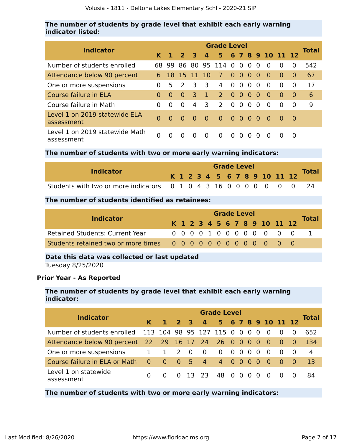#### **The number of students by grade level that exhibit each early warning indicator listed:**

|                                              | <b>Grade Level</b> |          |                     |                         |                |                  |                                                   |                |          |          |                    |          |          |              |  |
|----------------------------------------------|--------------------|----------|---------------------|-------------------------|----------------|------------------|---------------------------------------------------|----------------|----------|----------|--------------------|----------|----------|--------------|--|
| <b>Indicator</b>                             | K.                 |          | $1 \quad 2 \quad 3$ |                         | 4 <sup>7</sup> |                  |                                                   |                |          |          | 5 6 7 8 9 10 11 12 |          |          | <b>Total</b> |  |
| Number of students enrolled                  | 68.                | -99      |                     |                         |                | 86 80 95 114 0 0 |                                                   |                | $\Omega$ | $\Omega$ | $\Omega$           | $\Omega$ | $\Omega$ | 542          |  |
| Attendance below 90 percent                  | 6.                 |          |                     | 18 15 11 10             |                | $\overline{7}$   | $0\quad 0\quad 0$                                 |                |          | - 0      | $\bullet$          | $\Omega$ | $\Omega$ | 67           |  |
| One or more suspensions                      | 0                  | 5.       | $\mathcal{L}$       | $\overline{\mathbf{3}}$ | 3              | 4                | $\Omega$                                          | $\overline{0}$ | $\Omega$ | $\Omega$ | $\Omega$           | $\Omega$ | $\Omega$ | 17           |  |
| Course failure in ELA                        | 0                  | $\Omega$ | $\bullet$           | 3                       | $\overline{1}$ | 2 <sup>7</sup>   | $0\quad 0\quad 0$                                 |                |          | - 0      | - 0                | $\Omega$ | $\Omega$ | 6            |  |
| Course failure in Math                       | 0                  | $\Omega$ | $\Omega$            | 4                       | 3              | 2                | $\Omega$                                          | $\overline{0}$ | $\Omega$ | $\Omega$ | $\Omega$           | $\Omega$ | $\Omega$ | 9            |  |
| Level 1 on 2019 statewide ELA<br>assessment  | $\Omega$           | $\Omega$ | - 0                 | $\bullet$ 0 $\bullet$   | <b>0</b>       | $\bullet$ 0      | $\begin{array}{cccccc} 0 & 0 & 0 & 0 \end{array}$ |                |          |          | - റ                | - 0      | - 0      |              |  |
| Level 1 on 2019 statewide Math<br>assessment | 0                  |          |                     |                         | $\Omega$       | $\Omega$         | $\Omega$                                          | $\Omega$       | $\Omega$ | $\Omega$ | $\Omega$           |          | $\Omega$ |              |  |

**The number of students with two or more early warning indicators:**

| <b>Indicator</b>                                                   |                              | <b>Grade Level</b> |  |  |  |  |  |  |              |  |  |  |  |  |  |
|--------------------------------------------------------------------|------------------------------|--------------------|--|--|--|--|--|--|--------------|--|--|--|--|--|--|
|                                                                    | K 1 2 3 4 5 6 7 8 9 10 11 12 |                    |  |  |  |  |  |  | <b>Total</b> |  |  |  |  |  |  |
| Students with two or more indicators 0 1 0 4 3 16 0 0 0 0 0 0 0 24 |                              |                    |  |  |  |  |  |  |              |  |  |  |  |  |  |

#### **The number of students identified as retainees:**

|                                        | <b>Grade Level</b> |  |  |  |  |  |  |  |  |  |  |                              |  |              |
|----------------------------------------|--------------------|--|--|--|--|--|--|--|--|--|--|------------------------------|--|--------------|
| <b>Indicator</b>                       |                    |  |  |  |  |  |  |  |  |  |  | K 1 2 3 4 5 6 7 8 9 10 11 12 |  | <b>Total</b> |
| <b>Retained Students: Current Year</b> |                    |  |  |  |  |  |  |  |  |  |  | 0 0 0 0 1 0 0 0 0 0 0 0 0    |  |              |
|                                        |                    |  |  |  |  |  |  |  |  |  |  |                              |  |              |

#### **Date this data was collected or last updated**

Tuesday 8/25/2020

#### **Prior Year - As Reported**

#### **The number of students by grade level that exhibit each early warning indicator:**

|                                                         | <b>Grade Level</b> |             |                                        |  |                         |                                                        |  |  |  |          |                          |                    |                    |              |  |
|---------------------------------------------------------|--------------------|-------------|----------------------------------------|--|-------------------------|--------------------------------------------------------|--|--|--|----------|--------------------------|--------------------|--------------------|--------------|--|
| <b>Indicator</b>                                        | K.                 |             | $1 \quad 2 \quad 3$                    |  |                         | 4 5 6 7 8 9 10 11 12                                   |  |  |  |          |                          |                    |                    | <b>Total</b> |  |
| Number of students enrolled 113 104 98 95 127 115 0 0 0 |                    |             |                                        |  |                         |                                                        |  |  |  | - 0      | - 0                      | $\overline{0}$     | $\Omega$           | 652          |  |
| Attendance below 90 percent 22 29 16 17 24 26 0 0 0 0   |                    |             |                                        |  |                         |                                                        |  |  |  |          | $\overline{\phantom{0}}$ | $\blacktriangle$ 0 | $\blacktriangle$ 0 | 134          |  |
| One or more suspensions                                 | $\mathbf{1}$       | 1 2 0       |                                        |  | $\overline{\mathbf{0}}$ | $\begin{array}{ccccccccc}\n0 & 0 & 0 & 0\n\end{array}$ |  |  |  | $\Omega$ | - 0                      | $\overline{0}$     | - 0                | 4            |  |
| Course failure in ELA or Math                           | $\overline{0}$     | $\bullet$ 0 | $\begin{array}{ccc} 0 & 5 \end{array}$ |  |                         | 4 4 0 0 0                                              |  |  |  | - 0      | - 0                      | $\overline{0}$     | - 0                | 13           |  |
| Level 1 on statewide<br>assessment                      | <sup>0</sup>       |             | $\Omega$                               |  | 13 23 48 0 0 0          |                                                        |  |  |  | $\Omega$ | - 0                      | $\overline{0}$     | $\Omega$           | 84           |  |

**The number of students with two or more early warning indicators:**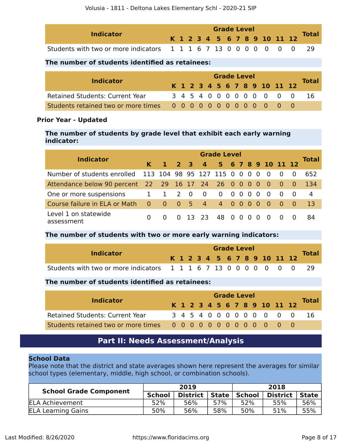| <b>Indicator</b>                                                  |  | <b>Grade Level</b> |  |  |  |  |  |  |  |  |  |  |                              |              |  |
|-------------------------------------------------------------------|--|--------------------|--|--|--|--|--|--|--|--|--|--|------------------------------|--------------|--|
|                                                                   |  |                    |  |  |  |  |  |  |  |  |  |  | K 1 2 3 4 5 6 7 8 9 10 11 12 | <b>Total</b> |  |
| Students with two or more indicators 1 1 1 6 7 13 0 0 0 0 0 0 0 0 |  |                    |  |  |  |  |  |  |  |  |  |  |                              |              |  |

#### **The number of students identified as retainees:**

| <b>Indicator</b>                                                  | <b>Grade Level</b> |  |  |  |  |  |  |  |  |  |  |                              |  |              |
|-------------------------------------------------------------------|--------------------|--|--|--|--|--|--|--|--|--|--|------------------------------|--|--------------|
|                                                                   |                    |  |  |  |  |  |  |  |  |  |  | K 1 2 3 4 5 6 7 8 9 10 11 12 |  | <b>Total</b> |
| <b>Retained Students: Current Year</b>                            |                    |  |  |  |  |  |  |  |  |  |  | 3 4 5 4 0 0 0 0 0 0 0 0 0    |  | ାର           |
| Students retained two or more times 0 0 0 0 0 0 0 0 0 0 0 0 0 0 0 |                    |  |  |  |  |  |  |  |  |  |  |                              |  |              |

#### **Prior Year - Updated**

**The number of students by grade level that exhibit each early warning indicator:**

| <b>Indicator</b>                                          | <b>Grade Level</b>      |                |                                        |  |                |                      |  |  |     |          |                          |                          |          |              |  |
|-----------------------------------------------------------|-------------------------|----------------|----------------------------------------|--|----------------|----------------------|--|--|-----|----------|--------------------------|--------------------------|----------|--------------|--|
|                                                           | K.                      |                | $1 \quad 2 \quad 3$                    |  |                | 4 5 6 7 8 9 10 11 12 |  |  |     |          |                          |                          |          | <b>Total</b> |  |
| Number of students enrolled 113 104 98 95 127 115 0 0 0 0 |                         |                |                                        |  |                |                      |  |  |     |          | $\overline{\phantom{0}}$ | $\overline{\phantom{0}}$ | $\Omega$ | 652          |  |
| Attendance below 90 percent 22 29 16 17 24 26 0 0 0 0 0   |                         |                |                                        |  |                |                      |  |  |     |          |                          | $\sim$ 0 $\sim$          | - 0      | -134         |  |
| One or more suspensions                                   | $\mathbf{1}$            | 1 2 0          |                                        |  | $\overline{0}$ | $0\quad 0\quad 0$    |  |  | - 0 | $\Omega$ | $\Omega$                 | $\overline{\mathbf{0}}$  | - റ      | 4            |  |
| Course failure in ELA or Math                             | $\overline{\mathbf{0}}$ | $\overline{0}$ | $\begin{array}{ccc} 0 & 5 \end{array}$ |  | 4 <sup>7</sup> | 4 0 0 0              |  |  |     | - 0      | $\overline{0}$           | $\overline{\mathbf{0}}$  | $-0$     | 13           |  |
| Level 1 on statewide<br>assessment                        | $\Omega$                |                | $\Omega$                               |  | 13 23          | 48 0 0               |  |  | - 0 | $\Omega$ | - 0                      | 0                        |          | 84           |  |

#### **The number of students with two or more early warning indicators:**

| <b>Indicator</b>                                                  |  |  |  | <b>Grade Level</b> |  |  |                              |  | <b>Total</b> |
|-------------------------------------------------------------------|--|--|--|--------------------|--|--|------------------------------|--|--------------|
|                                                                   |  |  |  |                    |  |  | K 1 2 3 4 5 6 7 8 9 10 11 12 |  |              |
| Students with two or more indicators 1 1 1 6 7 13 0 0 0 0 0 0 0 0 |  |  |  |                    |  |  |                              |  |              |

#### **The number of students identified as retainees:**

| <b>Indicator</b>                       |  | <b>Grade Level</b> |  |  |  |  |  |  |  |  |  |                              |              |
|----------------------------------------|--|--------------------|--|--|--|--|--|--|--|--|--|------------------------------|--------------|
|                                        |  |                    |  |  |  |  |  |  |  |  |  | K 1 2 3 4 5 6 7 8 9 10 11 12 | <b>Total</b> |
| <b>Retained Students: Current Year</b> |  |                    |  |  |  |  |  |  |  |  |  | 3 4 5 4 0 0 0 0 0 0 0 0 0    | -16          |
|                                        |  |                    |  |  |  |  |  |  |  |  |  |                              |              |

## **Part II: Needs Assessment/Analysis**

#### <span id="page-7-0"></span>**School Data**

Please note that the district and state averages shown here represent the averages for similar school types (elementary, middle, high school, or combination schools).

| <b>School Grade Component</b> |               | 2019            |       | 2018   |                 |       |  |
|-------------------------------|---------------|-----------------|-------|--------|-----------------|-------|--|
|                               | <b>School</b> | <b>District</b> | State | School | <b>District</b> | State |  |
| <b>ELA Achievement</b>        | 52%           | 56%             | 57%   | 52%    | 55%             | 56%   |  |
| <b>ELA Learning Gains</b>     | 50%           | 56%             | 58%   | 50%    | 51%             | 55%   |  |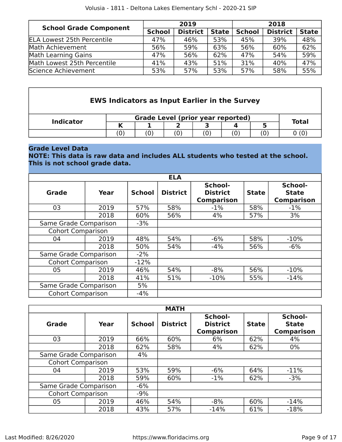| <b>School Grade Component</b>     |               | 2019            |              | 2018          |                 |              |  |
|-----------------------------------|---------------|-----------------|--------------|---------------|-----------------|--------------|--|
|                                   | <b>School</b> | <b>District</b> | <b>State</b> | <b>School</b> | <b>District</b> | <b>State</b> |  |
| <b>ELA Lowest 25th Percentile</b> | 47%           | 46%             | 53%          | 45%           | 39%             | 48%          |  |
| Math Achievement                  | 56%           | 59%             | 63%          | 56%           | 60%             | 62%          |  |
| Math Learning Gains               | 47%           | 56%             | 62%          | 47%           | 54%             | 59%          |  |
| Math Lowest 25th Percentile       | 41%           | 43%             | 51%          | 31%           | 40%             | 47%          |  |
| Science Achievement               | 53%           | 57%             | 53%          | 57%           | 58%             | 55%          |  |

| <b>EWS Indicators as Input Earlier in the Survey</b> |    |                                          |  |  |  |  |              |  |  |  |
|------------------------------------------------------|----|------------------------------------------|--|--|--|--|--------------|--|--|--|
|                                                      |    | <b>Grade Level (prior year reported)</b> |  |  |  |  |              |  |  |  |
| <b>Indicator</b>                                     |    |                                          |  |  |  |  | <b>Total</b> |  |  |  |
|                                                      | 0) |                                          |  |  |  |  |              |  |  |  |

#### **Grade Level Data**

#### **NOTE: This data is raw data and includes ALL students who tested at the school. This is not school grade data.**

|                          |      |               | <b>ELA</b>      |                                                                 |     |                                              |
|--------------------------|------|---------------|-----------------|-----------------------------------------------------------------|-----|----------------------------------------------|
| Grade                    | Year | <b>School</b> | <b>District</b> | School-<br><b>District</b><br><b>State</b><br><b>Comparison</b> |     | School-<br><b>State</b><br><b>Comparison</b> |
| 03                       | 2019 | 57%           | 58%             | $-1\%$                                                          | 58% | $-1%$                                        |
|                          | 2018 | 60%           | 56%             | 4%                                                              | 57% | 3%                                           |
| Same Grade Comparison    |      | $-3%$         |                 |                                                                 |     |                                              |
| <b>Cohort Comparison</b> |      |               |                 |                                                                 |     |                                              |
| 04                       | 2019 | 48%           | 54%             | $-6%$                                                           | 58% | $-10%$                                       |
|                          | 2018 | 50%           | 54%             | $-4%$                                                           | 56% | $-6%$                                        |
| Same Grade Comparison    |      | $-2\%$        |                 |                                                                 |     |                                              |
| <b>Cohort Comparison</b> |      | $-12%$        |                 |                                                                 |     |                                              |
| 05                       | 2019 | 46%           | 54%             | $-8%$                                                           | 56% | $-10%$                                       |
|                          | 2018 | 41%           | 51%             | $-10%$                                                          | 55% | $-14%$                                       |
| Same Grade Comparison    |      | 5%            |                 |                                                                 |     |                                              |
| <b>Cohort Comparison</b> |      | $-4%$         |                 |                                                                 |     |                                              |

|                          |      |               | <b>MATH</b>     |                                                                 |     |                                              |
|--------------------------|------|---------------|-----------------|-----------------------------------------------------------------|-----|----------------------------------------------|
| Grade                    | Year | <b>School</b> | <b>District</b> | School-<br><b>District</b><br><b>State</b><br><b>Comparison</b> |     | School-<br><b>State</b><br><b>Comparison</b> |
| 03                       | 2019 | 66%           | 60%             | 6%                                                              | 62% | 4%                                           |
|                          | 2018 | 62%           | 58%             | 4%                                                              | 62% | $0\%$                                        |
| Same Grade Comparison    |      | 4%            |                 |                                                                 |     |                                              |
| <b>Cohort Comparison</b> |      |               |                 |                                                                 |     |                                              |
| 04                       | 2019 | 53%           | 59%             | $-6%$                                                           | 64% | $-11%$                                       |
|                          | 2018 | 59%           | 60%             | $-1\%$                                                          | 62% | $-3%$                                        |
| Same Grade Comparison    |      | $-6%$         |                 |                                                                 |     |                                              |
| <b>Cohort Comparison</b> |      | $-9%$         |                 |                                                                 |     |                                              |
| 05                       | 2019 | 46%           | 54%             | $-8%$                                                           | 60% | $-14%$                                       |
|                          | 2018 | 43%           | 57%             | $-14%$                                                          | 61% | $-18%$                                       |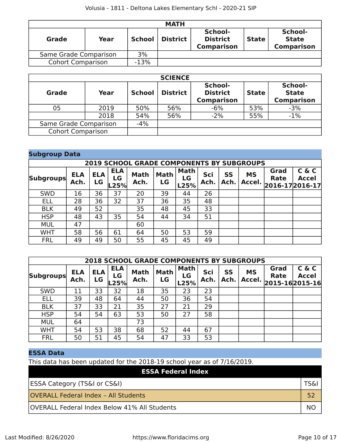| <b>MATH</b>              |        |               |                 |                                                 |              |                                              |  |  |  |  |  |
|--------------------------|--------|---------------|-----------------|-------------------------------------------------|--------------|----------------------------------------------|--|--|--|--|--|
| Grade                    | Year   | <b>School</b> | <b>District</b> | School-<br><b>District</b><br><b>Comparison</b> | <b>State</b> | School-<br><b>State</b><br><b>Comparison</b> |  |  |  |  |  |
| Same Grade Comparison    | 3%     |               |                 |                                                 |              |                                              |  |  |  |  |  |
| <b>Cohort Comparison</b> | $-13%$ |               |                 |                                                 |              |                                              |  |  |  |  |  |

|                          |       |               | <b>SCIENCE</b>  |                                                 |              |                                              |
|--------------------------|-------|---------------|-----------------|-------------------------------------------------|--------------|----------------------------------------------|
| <b>Grade</b>             | Year  | <b>School</b> | <b>District</b> | School-<br><b>District</b><br><b>Comparison</b> | <b>State</b> | School-<br><b>State</b><br><b>Comparison</b> |
| 05                       | 2019  | 50%           | 56%             | $-6%$                                           | 53%          | $-3%$                                        |
|                          | 2018  | 54%           | 56%             | $-2%$                                           | 55%          | $-1\%$                                       |
| Same Grade Comparison    | $-4%$ |               |                 |                                                 |              |                                              |
| <b>Cohort Comparison</b> |       |               |                 |                                                 |              |                                              |

| <b>Subgroup Data</b> |                                                  |                  |                          |                     |                   |                           |             |                   |                     |                                 |                       |  |  |
|----------------------|--------------------------------------------------|------------------|--------------------------|---------------------|-------------------|---------------------------|-------------|-------------------|---------------------|---------------------------------|-----------------------|--|--|
|                      | <b>2019 SCHOOL GRADE COMPONENTS BY SUBGROUPS</b> |                  |                          |                     |                   |                           |             |                   |                     |                                 |                       |  |  |
| <b>Subgroups</b>     | <b>ELA</b><br>Ach.                               | <b>ELA</b><br>LG | <b>ELA</b><br>LG<br>.25% | <b>Math</b><br>Ach. | <b>Math</b><br>LG | Math<br><b>LG</b><br>L25% | Sci<br>Ach. | <b>SS</b><br>Ach. | <b>MS</b><br>Accel. | Grad<br>Rate<br>2016-17 2016-17 | C & C<br><b>Accel</b> |  |  |
| <b>SWD</b>           | 16                                               | 36               | 37                       | 20                  | 39                | 44                        | 26          |                   |                     |                                 |                       |  |  |
| <b>ELL</b>           | 28                                               | 36               | 32                       | 37                  | 36                | 35                        | 48          |                   |                     |                                 |                       |  |  |
| <b>BLK</b>           | 49                                               | 52               |                          | 35                  | 48                | 45                        | 33          |                   |                     |                                 |                       |  |  |
| <b>HSP</b>           | 48                                               | 43               | 35                       | 54                  | 44                | 34                        | 51          |                   |                     |                                 |                       |  |  |
| <b>MUL</b>           | 47                                               |                  |                          | 60                  |                   |                           |             |                   |                     |                                 |                       |  |  |
| <b>WHT</b>           | 58                                               | 56               | 61                       | 64                  | 50                | 53                        | 59          |                   |                     |                                 |                       |  |  |
| <b>FRL</b>           | 49                                               | 49               | 50                       | 55                  | 45                | 45                        | 49          |                   |                     |                                 |                       |  |  |

|                  | <b>2018 SCHOOL GRADE COMPONENTS BY SUBGROUPS</b> |                  |                          |                     |                   |                           |             |                   |                     |                     |                                         |
|------------------|--------------------------------------------------|------------------|--------------------------|---------------------|-------------------|---------------------------|-------------|-------------------|---------------------|---------------------|-----------------------------------------|
| <b>Subgroups</b> | <b>ELA</b><br>Ach.                               | <b>ELA</b><br>LG | <b>ELA</b><br>LG<br>-25% | <b>Math</b><br>Ach. | <b>Math</b><br>LG | <b>Math</b><br>LG<br>L25% | Sci<br>Ach. | <b>SS</b><br>Ach. | <b>MS</b><br>Accel. | Grad<br><b>Rate</b> | C & C<br><b>Accel</b><br>2015-162015-16 |
| <b>SWD</b>       | 11                                               | 33               | 32                       | 18                  | 35                | 23                        | 23          |                   |                     |                     |                                         |
| <b>ELL</b>       | 39                                               | 48               | 64                       | 44                  | 50                | 36                        | 54          |                   |                     |                     |                                         |
| <b>BLK</b>       | 37                                               | 33               | 21                       | 35                  | 27                | 21                        | 29          |                   |                     |                     |                                         |
| <b>HSP</b>       | 54                                               | 54               | 63                       | 53                  | 50                | 27                        | 58          |                   |                     |                     |                                         |
| <b>MUL</b>       | 64                                               |                  |                          | 73                  |                   |                           |             |                   |                     |                     |                                         |
| <b>WHT</b>       | 54                                               | 53               | 38                       | 68                  | 52                | 44                        | 67          |                   |                     |                     |                                         |
| <b>FRL</b>       | 50                                               | 51               | 45                       | 54                  | 47                | 33                        | 53          |                   |                     |                     |                                         |

### **ESSA Data**

This data has been updated for the 2018-19 school year as of 7/16/2019.

| <b>ESSA Federal Index</b>                           |    |
|-----------------------------------------------------|----|
| <b>ESSA Category (TS&amp;I or CS&amp;I)</b>         |    |
| <b>OVERALL Federal Index - All Students</b>         |    |
| <b>OVERALL Federal Index Below 41% All Students</b> | NC |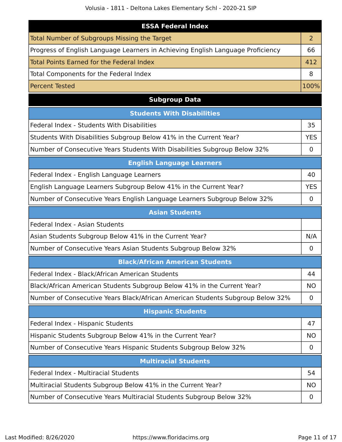| <b>ESSA Federal Index</b>                                                       |                |
|---------------------------------------------------------------------------------|----------------|
| <b>Total Number of Subgroups Missing the Target</b>                             | $\overline{2}$ |
|                                                                                 |                |
| Progress of English Language Learners in Achieving English Language Proficiency | 66             |
| Total Points Earned for the Federal Index                                       | 412            |
| Total Components for the Federal Index                                          | 8              |
| <b>Percent Tested</b>                                                           | 100%           |
| <b>Subgroup Data</b>                                                            |                |
| <b>Students With Disabilities</b>                                               |                |
| Federal Index - Students With Disabilities                                      | 35             |
| Students With Disabilities Subgroup Below 41% in the Current Year?              | <b>YES</b>     |
| Number of Consecutive Years Students With Disabilities Subgroup Below 32%       | $\mathbf 0$    |
| <b>English Language Learners</b>                                                |                |
| Federal Index - English Language Learners                                       | 40             |
| English Language Learners Subgroup Below 41% in the Current Year?               | <b>YES</b>     |
| Number of Consecutive Years English Language Learners Subgroup Below 32%        | 0              |
| <b>Asian Students</b>                                                           |                |
| Federal Index - Asian Students                                                  |                |
| Asian Students Subgroup Below 41% in the Current Year?                          | N/A            |
| Number of Consecutive Years Asian Students Subgroup Below 32%                   | 0              |
| <b>Black/African American Students</b>                                          |                |
| Federal Index - Black/African American Students                                 | 44             |
| Black/African American Students Subgroup Below 41% in the Current Year?         | <b>NO</b>      |
| Number of Consecutive Years Black/African American Students Subgroup Below 32%  | $\mathbf 0$    |
| <b>Hispanic Students</b>                                                        |                |
| Federal Index - Hispanic Students                                               | 47             |
| Hispanic Students Subgroup Below 41% in the Current Year?                       | <b>NO</b>      |
| Number of Consecutive Years Hispanic Students Subgroup Below 32%                | $\mathbf 0$    |
| <b>Multiracial Students</b>                                                     |                |
| Federal Index - Multiracial Students                                            | 54             |
| Multiracial Students Subgroup Below 41% in the Current Year?                    | <b>NO</b>      |
| Number of Consecutive Years Multiracial Students Subgroup Below 32%             | 0              |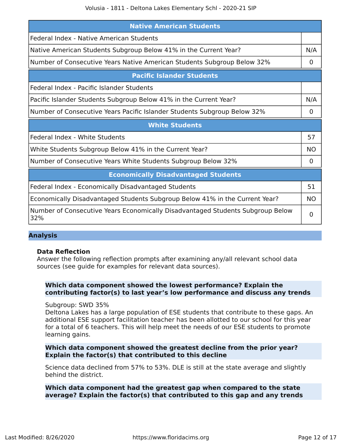| <b>Native American Students</b>                                                       |             |  |  |
|---------------------------------------------------------------------------------------|-------------|--|--|
| Federal Index - Native American Students                                              |             |  |  |
| Native American Students Subgroup Below 41% in the Current Year?                      | N/A         |  |  |
| Number of Consecutive Years Native American Students Subgroup Below 32%               | $\mathbf 0$ |  |  |
| <b>Pacific Islander Students</b>                                                      |             |  |  |
| Federal Index - Pacific Islander Students                                             |             |  |  |
| Pacific Islander Students Subgroup Below 41% in the Current Year?                     | N/A         |  |  |
| Number of Consecutive Years Pacific Islander Students Subgroup Below 32%              | 0           |  |  |
| <b>White Students</b>                                                                 |             |  |  |
| Federal Index - White Students                                                        | 57          |  |  |
| White Students Subgroup Below 41% in the Current Year?                                | <b>NO</b>   |  |  |
| Number of Consecutive Years White Students Subgroup Below 32%                         | 0           |  |  |
| <b>Economically Disadvantaged Students</b>                                            |             |  |  |
| Federal Index - Economically Disadvantaged Students                                   | 51          |  |  |
| Economically Disadvantaged Students Subgroup Below 41% in the Current Year?           | <b>NO</b>   |  |  |
| Number of Consecutive Years Economically Disadvantaged Students Subgroup Below<br>32% | 0           |  |  |

#### **Analysis**

#### **Data Reflection**

Answer the following reflection prompts after examining any/all relevant school data sources (see guide for examples for relevant data sources).

#### **Which data component showed the lowest performance? Explain the contributing factor(s) to last year's low performance and discuss any trends**

Subgroup: SWD 35%

Deltona Lakes has a large population of ESE students that contribute to these gaps. An additional ESE support facilitation teacher has been allotted to our school for this year for a total of 6 teachers. This will help meet the needs of our ESE students to promote learning gains.

#### **Which data component showed the greatest decline from the prior year? Explain the factor(s) that contributed to this decline**

Science data declined from 57% to 53%. DLE is still at the state average and slightly behind the district.

#### **Which data component had the greatest gap when compared to the state average? Explain the factor(s) that contributed to this gap and any trends**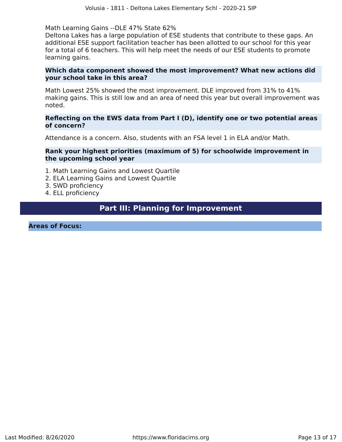Math Learning Gains --DLE 47% State 62%

Deltona Lakes has a large population of ESE students that contribute to these gaps. An additional ESE support facilitation teacher has been allotted to our school for this year for a total of 6 teachers. This will help meet the needs of our ESE students to promote learning gains.

#### **Which data component showed the most improvement? What new actions did your school take in this area?**

Math Lowest 25% showed the most improvement. DLE improved from 31% to 41% making gains. This is still low and an area of need this year but overall improvement was noted.

#### **Reflecting on the EWS data from Part I (D), identify one or two potential areas of concern?**

Attendance is a concern. Also, students with an FSA level 1 in ELA and/or Math.

#### **Rank your highest priorities (maximum of 5) for schoolwide improvement in the upcoming school year**

- 1. Math Learning Gains and Lowest Quartile
- 2. ELA Learning Gains and Lowest Quartile
- 3. SWD proficiency
- 4. ELL proficiency

# **Part III: Planning for Improvement**

<span id="page-12-0"></span>**Areas of Focus:**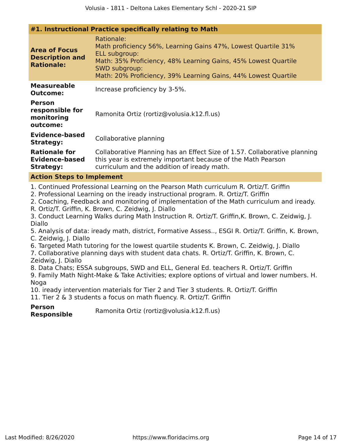|                                                                                                                                                                                                                                                                                                                                                                                                                                                                                                                                                                                                                                                                          | #1. Instructional Practice specifically relating to Math                                                                                                                                                                                                 |  |  |  |
|--------------------------------------------------------------------------------------------------------------------------------------------------------------------------------------------------------------------------------------------------------------------------------------------------------------------------------------------------------------------------------------------------------------------------------------------------------------------------------------------------------------------------------------------------------------------------------------------------------------------------------------------------------------------------|----------------------------------------------------------------------------------------------------------------------------------------------------------------------------------------------------------------------------------------------------------|--|--|--|
| <b>Area of Focus</b><br><b>Description and</b><br><b>Rationale:</b>                                                                                                                                                                                                                                                                                                                                                                                                                                                                                                                                                                                                      | Rationale:<br>Math proficiency 56%, Learning Gains 47%, Lowest Quartile 31%<br>ELL subgroup:<br>Math: 35% Proficiency, 48% Learning Gains, 45% Lowest Quartile<br><b>SWD subgroup:</b><br>Math: 20% Proficiency, 39% Learning Gains, 44% Lowest Quartile |  |  |  |
| <b>Measureable</b><br><b>Outcome:</b>                                                                                                                                                                                                                                                                                                                                                                                                                                                                                                                                                                                                                                    | Increase proficiency by 3-5%.                                                                                                                                                                                                                            |  |  |  |
| <b>Person</b><br>responsible for<br>monitoring<br>outcome:                                                                                                                                                                                                                                                                                                                                                                                                                                                                                                                                                                                                               | Ramonita Ortiz (rortiz@volusia.k12.fl.us)                                                                                                                                                                                                                |  |  |  |
| <b>Evidence-based</b><br><b>Strategy:</b>                                                                                                                                                                                                                                                                                                                                                                                                                                                                                                                                                                                                                                | Collaborative planning                                                                                                                                                                                                                                   |  |  |  |
| <b>Rationale for</b><br><b>Evidence-based</b><br><b>Strategy:</b>                                                                                                                                                                                                                                                                                                                                                                                                                                                                                                                                                                                                        | Collaborative Planning has an Effect Size of 1.57. Collaborative planning<br>this year is extremely important because of the Math Pearson<br>curriculum and the addition of iready math.                                                                 |  |  |  |
| <b>Action Steps to Implement</b>                                                                                                                                                                                                                                                                                                                                                                                                                                                                                                                                                                                                                                         |                                                                                                                                                                                                                                                          |  |  |  |
| 1. Continued Professional Learning on the Pearson Math curriculum R. Ortiz/T. Griffin<br>2. Professional Learning on the iready instructional program. R. Ortiz/T. Griffin<br>2. Coaching, Feedback and monitoring of implementation of the Math curriculum and iready.<br>R. Ortiz/T. Griffin, K. Brown, C. Zeidwig, J. Diallo<br>3. Conduct Learning Walks during Math Instruction R. Ortiz/T. Griffin, K. Brown, C. Zeidwig, J.<br>Diallo<br>5. Analysis of data: iready math, district, Formative Assess, ESGI R. Ortiz/T. Griffin, K. Brown,<br>C. Zeidwig, J. Diallo<br>6. Targeted Math tutoring for the lowest quartile students K. Brown, C. Zeidwig, J. Diallo |                                                                                                                                                                                                                                                          |  |  |  |
| 7. Collaborative planning days with student data chats. R. Ortiz/T. Griffin, K. Brown, C.                                                                                                                                                                                                                                                                                                                                                                                                                                                                                                                                                                                |                                                                                                                                                                                                                                                          |  |  |  |
| Zeidwig, J. Diallo<br>8. Data Chats; ESSA subgroups, SWD and ELL, General Ed. teachers R. Ortiz/T. Griffin<br>9. Family Math Night-Make & Take Activities; explore options of virtual and lower numbers. H.<br>Noga                                                                                                                                                                                                                                                                                                                                                                                                                                                      |                                                                                                                                                                                                                                                          |  |  |  |
| 10. iready intervention materials for Tier 2 and Tier 3 students. R. Ortiz/T. Griffin<br>11. Tier 2 & 3 students a focus on math fluency. R. Ortiz/T. Griffin                                                                                                                                                                                                                                                                                                                                                                                                                                                                                                            |                                                                                                                                                                                                                                                          |  |  |  |
|                                                                                                                                                                                                                                                                                                                                                                                                                                                                                                                                                                                                                                                                          |                                                                                                                                                                                                                                                          |  |  |  |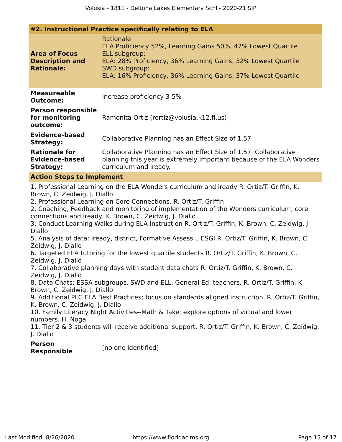| #2. Instructional Practice specifically relating to ELA                                                                                                                                                                                                                                                                                                                                                                                                                                                                                                                                                                                                                                                                                                                                                                                                                                                                                                                                                                                                                                                                                                                                                                                                                                                                                                                                       |                                                                                                                                                                                                                                               |  |  |  |  |
|-----------------------------------------------------------------------------------------------------------------------------------------------------------------------------------------------------------------------------------------------------------------------------------------------------------------------------------------------------------------------------------------------------------------------------------------------------------------------------------------------------------------------------------------------------------------------------------------------------------------------------------------------------------------------------------------------------------------------------------------------------------------------------------------------------------------------------------------------------------------------------------------------------------------------------------------------------------------------------------------------------------------------------------------------------------------------------------------------------------------------------------------------------------------------------------------------------------------------------------------------------------------------------------------------------------------------------------------------------------------------------------------------|-----------------------------------------------------------------------------------------------------------------------------------------------------------------------------------------------------------------------------------------------|--|--|--|--|
| <b>Area of Focus</b><br><b>Description and</b><br><b>Rationale:</b>                                                                                                                                                                                                                                                                                                                                                                                                                                                                                                                                                                                                                                                                                                                                                                                                                                                                                                                                                                                                                                                                                                                                                                                                                                                                                                                           | Rationale<br>ELA Proficiency 52%, Learning Gains 50%, 47% Lowest Quartile<br>ELL subgroup:<br>ELA: 28% Proficiency, 36% Learning Gains, 32% Lowest Quartile<br>SWD subgroup:<br>ELA: 16% Proficiency, 36% Learning Gains, 37% Lowest Quartile |  |  |  |  |
| <b>Measureable</b><br><b>Outcome:</b>                                                                                                                                                                                                                                                                                                                                                                                                                                                                                                                                                                                                                                                                                                                                                                                                                                                                                                                                                                                                                                                                                                                                                                                                                                                                                                                                                         | Increase proficiency 3-5%                                                                                                                                                                                                                     |  |  |  |  |
| <b>Person responsible</b><br>for monitoring<br>outcome:                                                                                                                                                                                                                                                                                                                                                                                                                                                                                                                                                                                                                                                                                                                                                                                                                                                                                                                                                                                                                                                                                                                                                                                                                                                                                                                                       | Ramonita Ortiz (rortiz@volusia.k12.fl.us)                                                                                                                                                                                                     |  |  |  |  |
| <b>Evidence-based</b><br><b>Strategy:</b>                                                                                                                                                                                                                                                                                                                                                                                                                                                                                                                                                                                                                                                                                                                                                                                                                                                                                                                                                                                                                                                                                                                                                                                                                                                                                                                                                     | Collaborative Planning has an Effect Size of 1.57.                                                                                                                                                                                            |  |  |  |  |
| <b>Rationale for</b><br><b>Evidence-based</b><br><b>Strategy:</b>                                                                                                                                                                                                                                                                                                                                                                                                                                                                                                                                                                                                                                                                                                                                                                                                                                                                                                                                                                                                                                                                                                                                                                                                                                                                                                                             | Collaborative Planning has an Effect Size of 1.57. Collaborative<br>planning this year is extremely important because of the ELA Wonders<br>curriculum and iready.                                                                            |  |  |  |  |
|                                                                                                                                                                                                                                                                                                                                                                                                                                                                                                                                                                                                                                                                                                                                                                                                                                                                                                                                                                                                                                                                                                                                                                                                                                                                                                                                                                                               |                                                                                                                                                                                                                                               |  |  |  |  |
| <b>Action Steps to Implement</b><br>1. Professional Learning on the ELA Wonders curriculum and iready R. Ortiz/T. Griffin, K.<br>Brown, C. Zeidwig, J. Diallo<br>2. Professional Learning on Core Connections. R. Ortiz/T. Griffin<br>2. Coaching, Feedback and monitoring of implementation of the Wonders curriculum, core<br>connections and iready. K. Brown, C. Zeidwig, J. Diallo<br>3. Conduct Learning Walks during ELA Instruction R. Ortiz/T. Griffin, K. Brown, C. Zeidwig, J.<br>Diallo<br>5. Analysis of data: iready, district, Formative Assess, ESGI R. Ortiz/T. Griffin, K. Brown, C.<br>Zeidwig, J. Diallo<br>6. Targeted ELA tutoring for the lowest quartile students R. Ortiz/T. Griffin, K. Brown, C.<br>Zeidwig, J. Diallo<br>7. Collaborative planning days with student data chats R. Ortiz/T. Griffin, K. Brown, C.<br>Zeidwig, J. Diallo<br>8. Data Chats; ESSA subgroups, SWD and ELL, General Ed. teachers. R. Ortiz/T. Griffin, K.<br>Brown, C. Zeidwig, J. Diallo<br>9. Additional PLC ELA Best Practices; focus on standards aligned instruction. R. Ortiz/T. Griffin,<br>K. Brown, C. Zeidwig, J. Diallo<br>10. Family Literacy Night Activities--Math & Take; explore options of virtual and lower<br>numbers. H. Noga<br>11. Tier 2 & 3 students will receive additional support. R. Ortiz/T. Griffin, K. Brown, C. Zeidwig,<br>J. Diallo<br><b>Person</b> |                                                                                                                                                                                                                                               |  |  |  |  |
| <b>Responsible</b>                                                                                                                                                                                                                                                                                                                                                                                                                                                                                                                                                                                                                                                                                                                                                                                                                                                                                                                                                                                                                                                                                                                                                                                                                                                                                                                                                                            | [no one identified]                                                                                                                                                                                                                           |  |  |  |  |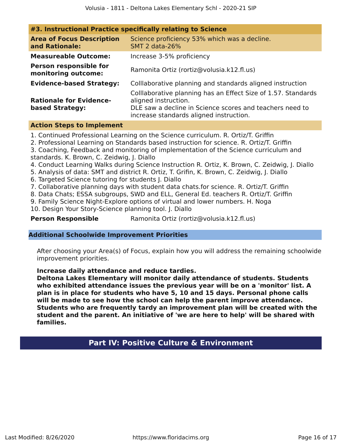| #3. Instructional Practice specifically relating to Science |                                                                                                                                                                                              |  |  |  |
|-------------------------------------------------------------|----------------------------------------------------------------------------------------------------------------------------------------------------------------------------------------------|--|--|--|
| <b>Area of Focus Description</b><br>and Rationale:          | Science proficiency 53% which was a decline.<br><b>SMT 2 data-26%</b>                                                                                                                        |  |  |  |
| <b>Measureable Outcome:</b>                                 | Increase 3-5% proficiency                                                                                                                                                                    |  |  |  |
| <b>Person responsible for</b><br>monitoring outcome:        | Ramonita Ortiz (rortiz@volusia.k12.fl.us)                                                                                                                                                    |  |  |  |
| <b>Evidence-based Strategy:</b>                             | Colllaborative planning and standards aligned instruction                                                                                                                                    |  |  |  |
| <b>Rationale for Evidence-</b><br>based Strategy:           | Colllaborative planning has an Effect Size of 1.57. Standards<br>aligned instruction.<br>DLE saw a decline in Science scores and teachers need to<br>increase standards aligned instruction. |  |  |  |

#### **Action Steps to Implement**

1. Continued Professional Learning on the Science curriculum. R. Ortiz/T. Griffin

2. Professional Learning on Standards based instruction for science. R. Ortiz/T. Griffin

3. Coaching, Feedback and monitoring of implementation of the Science curriculum and standards. K. Brown, C. Zeidwig, J. Diallo

- 4. Conduct Learning Walks during Science Instruction R. Ortiz, K. Brown, C. Zeidwig, J. Diallo
- 5. Analysis of data: SMT and district R. Ortiz, T. Grifin, K. Brown, C. Zeidwig, J. Diallo
- 6. Targeted Science tutoring for students J. Diallo
- 7. Collaborative planning days with student data chats.for science. R. Ortiz/T. Griffin

8. Data Chats; ESSA subgroups, SWD and ELL, General Ed. teachers R. Ortiz/T. Griffin

9. Family Science Night-Explore options of virtual and lower numbers. H. Noga

10. Design Your Story-Science planning tool. J. Diallo

**Person Responsible** Ramonita Ortiz (rortiz@volusia.k12.fl.us)

#### **Additional Schoolwide Improvement Priorities**

After choosing your Area(s) of Focus, explain how you will address the remaining schoolwide improvement priorities.

#### **Increase daily attendance and reduce tardies.**

<span id="page-15-0"></span>**Deltona Lakes Elementary will monitor daily attendance of students. Students who exhibited attendance issues the previous year will be on a 'monitor' list. A plan is in place for students who have 5, 10 and 15 days. Personal phone calls will be made to see how the school can help the parent improve attendance. Students who are frequently tardy an improvement plan will be created with the student and the parent. An initiative of 'we are here to help' will be shared with families.**

# **Part IV: Positive Culture & Environment**